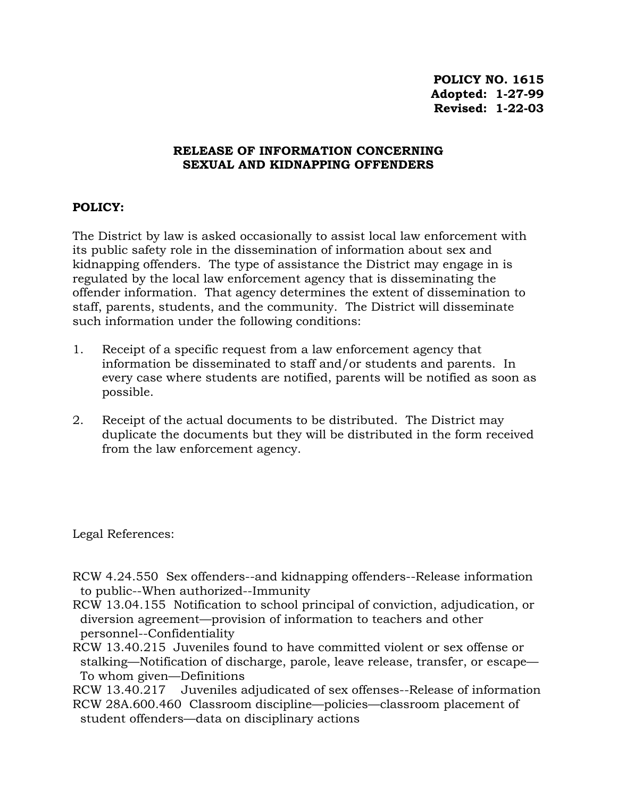## **RELEASE OF INFORMATION CONCERNING SEXUAL AND KIDNAPPING OFFENDERS**

## **POLICY:**

The District by law is asked occasionally to assist local law enforcement with its public safety role in the dissemination of information about sex and kidnapping offenders. The type of assistance the District may engage in is regulated by the local law enforcement agency that is disseminating the offender information. That agency determines the extent of dissemination to staff, parents, students, and the community. The District will disseminate such information under the following conditions:

- 1. Receipt of a specific request from a law enforcement agency that information be disseminated to staff and/or students and parents. In every case where students are notified, parents will be notified as soon as possible.
- 2. Receipt of the actual documents to be distributed. The District may duplicate the documents but they will be distributed in the form received from the law enforcement agency.

Legal References:

RCW 4.24.550 Sex offenders--and kidnapping offenders--Release information to public--When authorized--Immunity

- RCW 13.04.155 Notification to school principal of conviction, adjudication, or diversion agreement—provision of information to teachers and other personnel--Confidentiality
- RCW 13.40.215 Juveniles found to have committed violent or sex offense or stalking—Notification of discharge, parole, leave release, transfer, or escape— To whom given—Definitions

RCW 13.40.217 Juveniles adjudicated of sex offenses--Release of information RCW 28A.600.460 Classroom discipline—policies—classroom placement of student offenders—data on disciplinary actions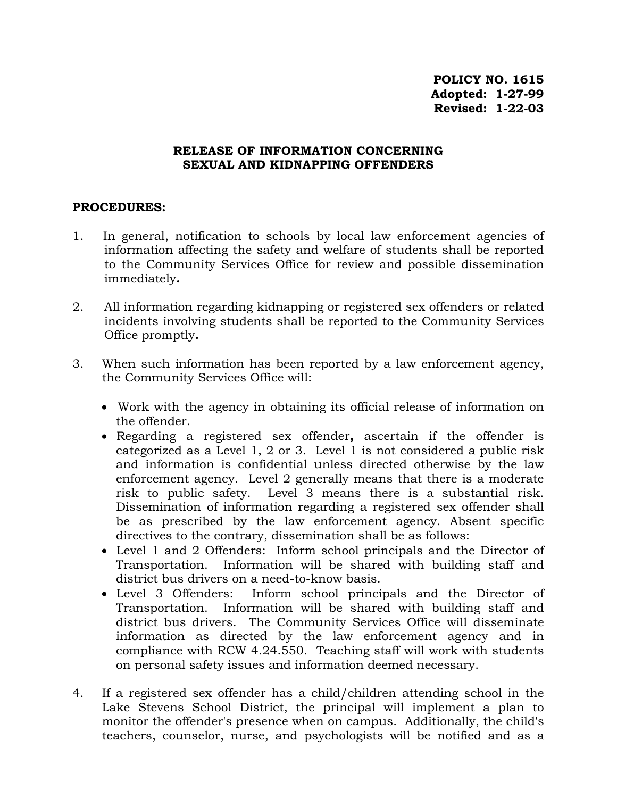## **RELEASE OF INFORMATION CONCERNING SEXUAL AND KIDNAPPING OFFENDERS**

## **PROCEDURES:**

- 1. In general, notification to schools by local law enforcement agencies of information affecting the safety and welfare of students shall be reported to the Community Services Office for review and possible dissemination immediately**.**
- 2. All information regarding kidnapping or registered sex offenders or related incidents involving students shall be reported to the Community Services Office promptly**.**
- 3. When such information has been reported by a law enforcement agency, the Community Services Office will:
	- Work with the agency in obtaining its official release of information on the offender.
	- Regarding a registered sex offender**,** ascertain if the offender is categorized as a Level 1, 2 or 3. Level 1 is not considered a public risk and information is confidential unless directed otherwise by the law enforcement agency. Level 2 generally means that there is a moderate risk to public safety. Level 3 means there is a substantial risk. Dissemination of information regarding a registered sex offender shall be as prescribed by the law enforcement agency. Absent specific directives to the contrary, dissemination shall be as follows:
	- Level 1 and 2 Offenders: Inform school principals and the Director of Transportation. Information will be shared with building staff and district bus drivers on a need-to-know basis.
	- Level 3 Offenders: Inform school principals and the Director of Transportation. Information will be shared with building staff and district bus drivers. The Community Services Office will disseminate information as directed by the law enforcement agency and in compliance with RCW 4.24.550. Teaching staff will work with students on personal safety issues and information deemed necessary.
- 4. If a registered sex offender has a child/children attending school in the Lake Stevens School District, the principal will implement a plan to monitor the offender's presence when on campus. Additionally, the child's teachers, counselor, nurse, and psychologists will be notified and as a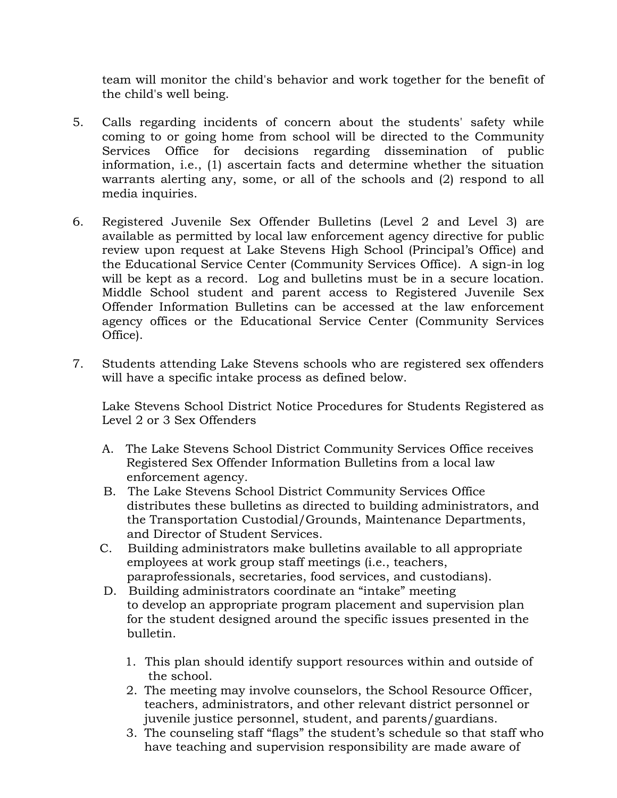team will monitor the child's behavior and work together for the benefit of the child's well being.

- 5. Calls regarding incidents of concern about the students' safety while coming to or going home from school will be directed to the Community Services Office for decisions regarding dissemination of public information, i.e., (1) ascertain facts and determine whether the situation warrants alerting any, some, or all of the schools and (2) respond to all media inquiries.
- 6. Registered Juvenile Sex Offender Bulletins (Level 2 and Level 3) are available as permitted by local law enforcement agency directive for public review upon request at Lake Stevens High School (Principal's Office) and the Educational Service Center (Community Services Office). A sign-in log will be kept as a record. Log and bulletins must be in a secure location. Middle School student and parent access to Registered Juvenile Sex Offender Information Bulletins can be accessed at the law enforcement agency offices or the Educational Service Center (Community Services Office).
- 7. Students attending Lake Stevens schools who are registered sex offenders will have a specific intake process as defined below.

Lake Stevens School District Notice Procedures for Students Registered as Level 2 or 3 Sex Offenders

- A. The Lake Stevens School District Community Services Office receives Registered Sex Offender Information Bulletins from a local law enforcement agency*.*
- B. The Lake Stevens School District Community Services Office distributes these bulletins as directed to building administrators, and the Transportation Custodial/Grounds, Maintenance Departments, and Director of Student Services.
- C. Building administrators make bulletins available to all appropriate employees at work group staff meetings (i.e., teachers, paraprofessionals, secretaries, food services, and custodians).
- D. Building administrators coordinate an "intake" meeting to develop an appropriate program placement and supervision plan for the student designed around the specific issues presented in the bulletin.
	- 1. This plan should identify support resources within and outside of the school.
	- 2. The meeting may involve counselors, the School Resource Officer, teachers, administrators, and other relevant district personnel or juvenile justice personnel, student, and parents/guardians.
	- 3. The counseling staff "flags" the student's schedule so that staff who have teaching and supervision responsibility are made aware of